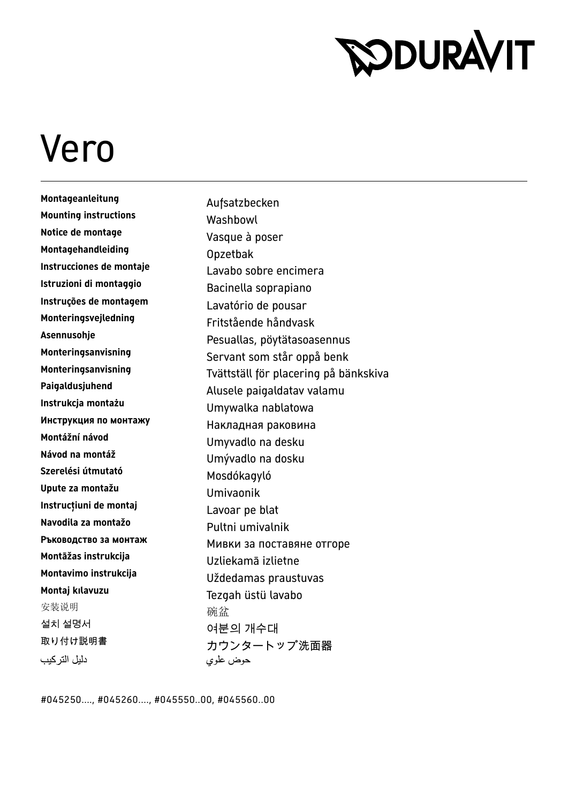## **RODURAVIT**

## Vero

**Montageanleitung** Aufsatzbecken **Mounting instructions** Washbowl **Notice de montage** Vasque à poser **Montagehandleiding**<br>Instrucciones de montaje<br>Instrucciones de montaje **Istruzioni di montaggio** Bacinella soprapiano **Instruções de montagem<br>
<b>Instruções de montagem**<br> **Instruções de montagem**<br> **Instruções de montagem**<br> **Instruções de montagem**<br> **Instruções de montagem Monteringsvejledning** Fritstående håndvask **Instrukcja montaż<sup>u</sup>** Umywalka nablatowa **Инструкция по монтажу** Накладная раковина **Montážní návod** Umyvadlo na desku **Návod na montá<sup>ž</sup>** Umývadlo na dosku **Upute za montaž<sup>u</sup>** Umivaonik **Instrucţiuni de montaj** Lavoar pe blat **Navodila za montaž<sup>o</sup>** Pultni umivalnik **Montāžas instrukcija** Uzliekamā izlietne 安装说明 不可能的 医心室 不如 化硫 盆 설치 설명서 가능하는 2012년의 개수대<br>정보선 11월 2012년 1월 21일 11월 21일 11월 21일 11월 21일 11월 21일 11월 21일 11월 21일 11월 21일 11월 21일 11월 21일 11월 21일 11월 21일 1 دليل التر كيب

Lavabo sobre encimera **Asennusohje** Pesuallas, pöytätasoasennus Servant som står oppå benk **Monteringsanvisning** Tvättställ för placering på bänkskiva **Paigaldusjuhend** Alusele paigaldatav valamu **Szerelési útmutató** Mosdókagyló **Ръководство за монтаж** Мивки за поставяне отгоре **Montavimo instrukcija** Uždedamas praustuvas **Montaj kılavuzu** Tezgah üstü lavabo カウンタートップ洗面器 حوض علوي

#045250...., #045260...., #045550..00, #045560..00